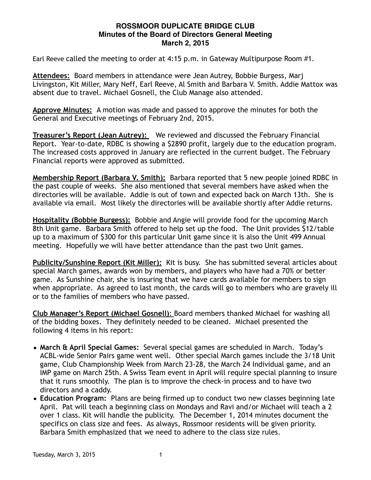## **ROSSMOOR DUPLICATE BRIDGE CLUB Minutes of the Board of Directors General Meeting March 2, 2015**

Earl Reeve called the meeting to order at 4:15 p.m. in Gateway Multipurpose Room #1.

**Attendees:** Board members in attendance were Jean Autrey, Bobbie Burgess, Marj Livingston, Kit Miller, Mary Neff, Earl Reeve, Al Smith and Barbara V. Smith. Addie Mattox was absent due to travel. Michael Gosnell, the Club Manage also attended.

**Approve Minutes:** A motion was made and passed to approve the minutes for both the General and Executive meetings of February 2nd, 2015.

**Treasurer's Report (Jean Autrey):** We reviewed and discussed the February Financial Report. Year-to-date, RDBC is showing a \$2890 profit, largely due to the education program. The increased costs approved in January are reflected in the current budget. The February Financial reports were approved as submitted.

**Membership Report (Barbara V. Smith):** Barbara reported that 5 new people joined RDBC in the past couple of weeks. She also mentioned that several members have asked when the directories will be available. Addie is out of town and expected back on March 13th. She is available via email. Most likely the directories will be available shortly after Addie returns.

**Hospitality (Bobbie Burgess):** Bobbie and Angie will provide food for the upcoming March 8th Unit game. Barbara Smith offered to help set up the food. The Unit provides \$12/table up to a maximum of \$300 for this particular Unit game since it is also the Unit 499 Annual meeting. Hopefully we will have better attendance than the past two Unit games.

**Publicity/Sunshine Report (Kit Miller):** Kit is busy. She has submitted several articles about special March games, awards won by members, and players who have had a 70% or better game. As Sunshine chair, she is insuring that we have cards available for members to sign when appropriate. As agreed to last month, the cards will go to members who are gravely ill or to the families of members who have passed.

**Club Manager's Report (Michael Gosnell)**: Board members thanked Michael for washing all of the bidding boxes. They definitely needed to be cleaned. Michael presented the following 4 items in his report:

- **March & April Special Games:** Several special games are scheduled in March. Today's ACBL-wide Senior Pairs game went well. Other special March games include the 3/18 Unit game, Club Championship Week from March 23-28, the March 24 Individual game, and an IMP game on March 25th. A Swiss Team event in April will require special planning to insure that it runs smoothly. The plan is to improve the check-in process and to have two directors and a caddy.
- **Education Program:** Plans are being firmed up to conduct two new classes beginning late April. Pat will teach a beginning class on Mondays and Ravi and/or Michael will teach a 2 over 1 class. Kit will handle the publicity. The December 1, 2014 minutes document the specifics on class size and fees. As always, Rossmoor residents will be given priority. Barbara Smith emphasized that we need to adhere to the class size rules.